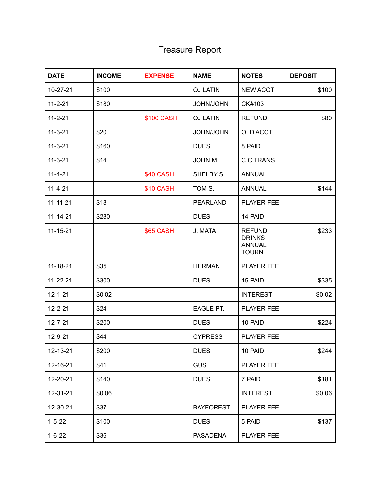## Treasure Report

| <b>DATE</b>    | <b>INCOME</b> | <b>EXPENSE</b>   | <b>NAME</b>      | <b>NOTES</b>                                                    | <b>DEPOSIT</b> |
|----------------|---------------|------------------|------------------|-----------------------------------------------------------------|----------------|
| 10-27-21       | \$100         |                  | <b>OJ LATIN</b>  | <b>NEW ACCT</b>                                                 | \$100          |
| $11 - 2 - 21$  | \$180         |                  | <b>JOHN/JOHN</b> | CK#103                                                          |                |
| $11 - 2 - 21$  |               | \$100 CASH       | <b>OJ LATIN</b>  | <b>REFUND</b>                                                   | \$80           |
| $11 - 3 - 21$  | \$20          |                  | <b>JOHN/JOHN</b> | <b>OLD ACCT</b>                                                 |                |
| $11 - 3 - 21$  | \$160         |                  | <b>DUES</b>      | 8 PAID                                                          |                |
| $11 - 3 - 21$  | \$14          |                  | JOHN M.          | <b>C.C TRANS</b>                                                |                |
| $11-4-21$      |               | \$40 CASH        | SHELBY S.        | <b>ANNUAL</b>                                                   |                |
| $11 - 4 - 21$  |               | \$10 CASH        | TOM S.           | <b>ANNUAL</b>                                                   | \$144          |
| $11 - 11 - 21$ | \$18          |                  | <b>PEARLAND</b>  | <b>PLAYER FEE</b>                                               |                |
| $11 - 14 - 21$ | \$280         |                  | <b>DUES</b>      | 14 PAID                                                         |                |
| $11 - 15 - 21$ |               | <b>\$65 CASH</b> | J. MATA          | <b>REFUND</b><br><b>DRINKS</b><br><b>ANNUAL</b><br><b>TOURN</b> | \$233          |
| $11 - 18 - 21$ | \$35          |                  | <b>HERMAN</b>    | <b>PLAYER FEE</b>                                               |                |
| $11 - 22 - 21$ | \$300         |                  | <b>DUES</b>      | 15 PAID                                                         | \$335          |
| $12 - 1 - 21$  | \$0.02        |                  |                  | <b>INTEREST</b>                                                 | \$0.02         |
| $12 - 2 - 21$  | \$24          |                  | EAGLE PT.        | <b>PLAYER FEE</b>                                               |                |
| $12 - 7 - 21$  | \$200         |                  | <b>DUES</b>      | 10 PAID                                                         | \$224          |
| 12-9-21        | \$44          |                  | <b>CYPRESS</b>   | <b>PLAYER FEE</b>                                               |                |
| 12-13-21       | \$200         |                  | <b>DUES</b>      | 10 PAID                                                         | \$244          |
| 12-16-21       | \$41          |                  | <b>GUS</b>       | PLAYER FEE                                                      |                |
| 12-20-21       | \$140         |                  | <b>DUES</b>      | 7 PAID                                                          | \$181          |
| 12-31-21       | \$0.06        |                  |                  | <b>INTEREST</b>                                                 | \$0.06         |
| 12-30-21       | \$37          |                  | <b>BAYFOREST</b> | PLAYER FEE                                                      |                |
| $1 - 5 - 22$   | \$100         |                  | <b>DUES</b>      | 5 PAID                                                          | \$137          |
| $1 - 6 - 22$   | \$36          |                  | <b>PASADENA</b>  | PLAYER FEE                                                      |                |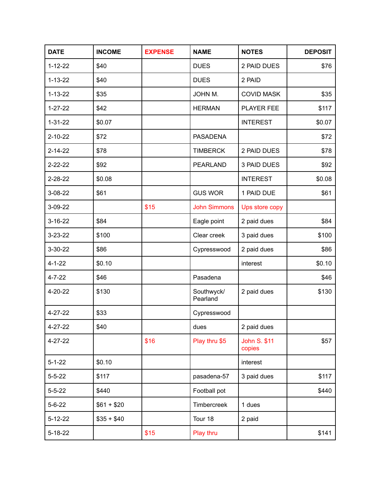| <b>DATE</b>   | <b>INCOME</b> | <b>EXPENSE</b> | <b>NAME</b>            | <b>NOTES</b>                  | <b>DEPOSIT</b> |
|---------------|---------------|----------------|------------------------|-------------------------------|----------------|
| $1 - 12 - 22$ | \$40          |                | <b>DUES</b>            | 2 PAID DUES                   | \$76           |
| $1 - 13 - 22$ | \$40          |                | <b>DUES</b>            | 2 PAID                        |                |
| $1 - 13 - 22$ | \$35          |                | JOHN M.                | <b>COVID MASK</b>             | \$35           |
| $1 - 27 - 22$ | \$42          |                | <b>HERMAN</b>          | PLAYER FEE                    | \$117          |
| $1 - 31 - 22$ | \$0.07        |                |                        | <b>INTEREST</b>               | \$0.07         |
| $2 - 10 - 22$ | \$72          |                | <b>PASADENA</b>        |                               | \$72           |
| $2 - 14 - 22$ | \$78          |                | <b>TIMBERCK</b>        | 2 PAID DUES                   | \$78           |
| $2 - 22 - 22$ | \$92          |                | <b>PEARLAND</b>        | 3 PAID DUES                   | \$92           |
| $2 - 28 - 22$ | \$0.08        |                |                        | <b>INTEREST</b>               | \$0.08         |
| $3 - 08 - 22$ | \$61          |                | <b>GUS WOR</b>         | 1 PAID DUE                    | \$61           |
| 3-09-22       |               | \$15           | <b>John Simmons</b>    | Ups store copy                |                |
| $3 - 16 - 22$ | \$84          |                | Eagle point            | 2 paid dues                   | \$84           |
| $3 - 23 - 22$ | \$100         |                | Clear creek            | 3 paid dues                   | \$100          |
| $3 - 30 - 22$ | \$86          |                | Cypresswood            | 2 paid dues                   | \$86           |
| $4 - 1 - 22$  | \$0.10        |                |                        | interest                      | \$0.10         |
| $4 - 7 - 22$  | \$46          |                | Pasadena               |                               | \$46           |
| 4-20-22       | \$130         |                | Southwyck/<br>Pearland | 2 paid dues                   | \$130          |
| $4 - 27 - 22$ | \$33          |                | Cypresswood            |                               |                |
| $4 - 27 - 22$ | \$40          |                | dues                   | 2 paid dues                   |                |
| 4-27-22       |               | \$16           | Play thru \$5          | <b>John S. \$11</b><br>copies | \$57           |
| $5 - 1 - 22$  | \$0.10        |                |                        | interest                      |                |
| $5 - 5 - 22$  | \$117         |                | pasadena-57            | 3 paid dues                   | \$117          |
| $5 - 5 - 22$  | \$440         |                | Football pot           |                               | \$440          |
| $5 - 6 - 22$  | $$61 + $20$   |                | Timbercreek            | 1 dues                        |                |
| $5 - 12 - 22$ | $$35 + $40$   |                | Tour 18                | 2 paid                        |                |
| $5 - 18 - 22$ |               | \$15           | Play thru              |                               | \$141          |